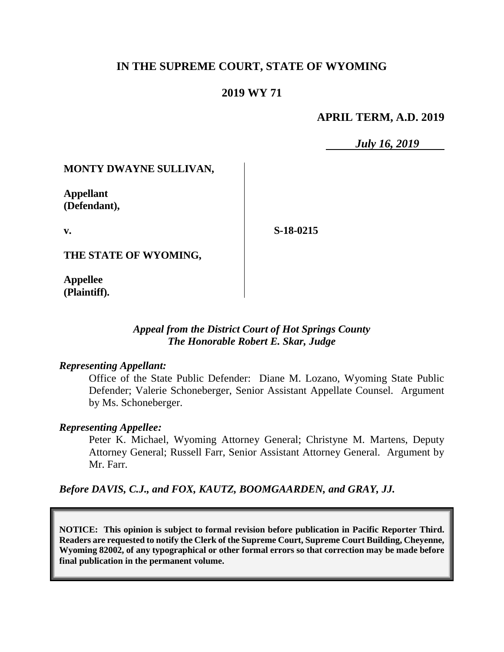# **IN THE SUPREME COURT, STATE OF WYOMING**

# **2019 WY 71**

### **APRIL TERM, A.D. 2019**

*July 16, 2019*

### **MONTY DWAYNE SULLIVAN,**

**Appellant (Defendant),**

**v.**

**S-18-0215**

**THE STATE OF WYOMING,**

**Appellee (Plaintiff).**

### *Appeal from the District Court of Hot Springs County The Honorable Robert E. Skar, Judge*

#### *Representing Appellant:*

Office of the State Public Defender: Diane M. Lozano, Wyoming State Public Defender; Valerie Schoneberger, Senior Assistant Appellate Counsel. Argument by Ms. Schoneberger.

### *Representing Appellee:*

Peter K. Michael, Wyoming Attorney General; Christyne M. Martens, Deputy Attorney General; Russell Farr, Senior Assistant Attorney General. Argument by Mr. Farr.

*Before DAVIS, C.J., and FOX, KAUTZ, BOOMGAARDEN, and GRAY, JJ.*

**NOTICE: This opinion is subject to formal revision before publication in Pacific Reporter Third. Readers are requested to notify the Clerk of the Supreme Court, Supreme Court Building, Cheyenne, Wyoming 82002, of any typographical or other formal errors so that correction may be made before final publication in the permanent volume.**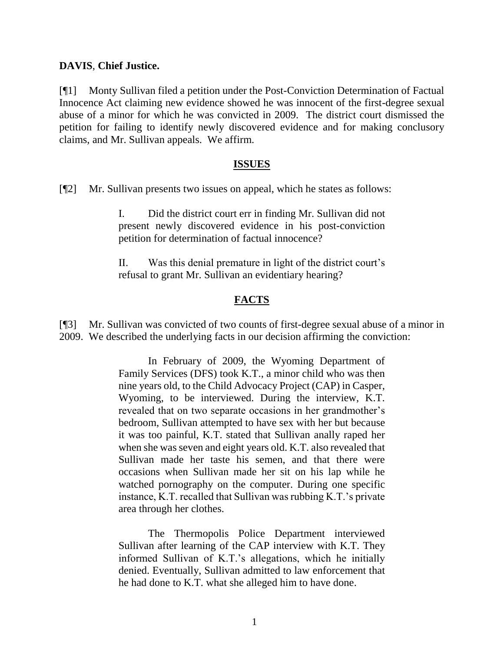### **DAVIS**, **Chief Justice.**

[¶1] Monty Sullivan filed a petition under the Post-Conviction Determination of Factual Innocence Act claiming new evidence showed he was innocent of the first-degree sexual abuse of a minor for which he was convicted in 2009. The district court dismissed the petition for failing to identify newly discovered evidence and for making conclusory claims, and Mr. Sullivan appeals. We affirm.

#### **ISSUES**

[¶2] Mr. Sullivan presents two issues on appeal, which he states as follows:

I. Did the district court err in finding Mr. Sullivan did not present newly discovered evidence in his post-conviction petition for determination of factual innocence?

II. Was this denial premature in light of the district court's refusal to grant Mr. Sullivan an evidentiary hearing?

# **FACTS**

[¶3] Mr. Sullivan was convicted of two counts of first-degree sexual abuse of a minor in 2009. We described the underlying facts in our decision affirming the conviction:

> In February of 2009, the Wyoming Department of Family Services (DFS) took K.T., a minor child who was then nine years old, to the Child Advocacy Project (CAP) in Casper, Wyoming, to be interviewed. During the interview, K.T. revealed that on two separate occasions in her grandmother's bedroom, Sullivan attempted to have sex with her but because it was too painful, K.T. stated that Sullivan anally raped her when she was seven and eight years old. K.T. also revealed that Sullivan made her taste his semen, and that there were occasions when Sullivan made her sit on his lap while he watched pornography on the computer. During one specific instance, K.T. recalled that Sullivan was rubbing K.T.'s private area through her clothes.

> The Thermopolis Police Department interviewed Sullivan after learning of the CAP interview with K.T. They informed Sullivan of K.T.'s allegations, which he initially denied. Eventually, Sullivan admitted to law enforcement that he had done to K.T. what she alleged him to have done.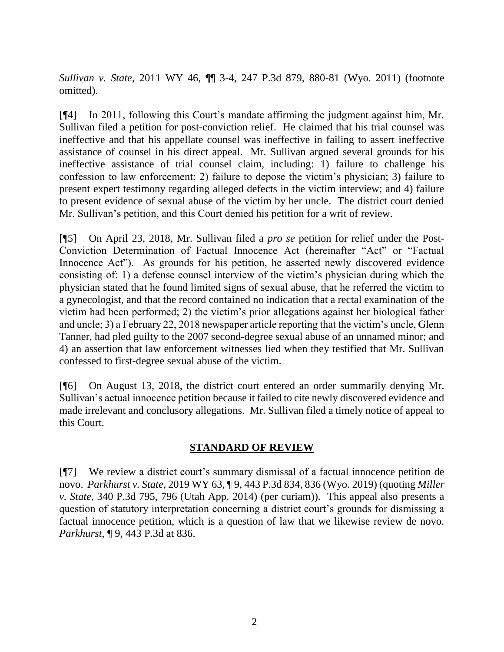*Sullivan v. State*, 2011 WY 46, ¶¶ 3-4, 247 P.3d 879, 880-81 (Wyo. 2011) (footnote omitted).

[¶4] In 2011, following this Court's mandate affirming the judgment against him, Mr. Sullivan filed a petition for post-conviction relief. He claimed that his trial counsel was ineffective and that his appellate counsel was ineffective in failing to assert ineffective assistance of counsel in his direct appeal. Mr. Sullivan argued several grounds for his ineffective assistance of trial counsel claim, including: 1) failure to challenge his confession to law enforcement; 2) failure to depose the victim's physician; 3) failure to present expert testimony regarding alleged defects in the victim interview; and 4) failure to present evidence of sexual abuse of the victim by her uncle. The district court denied Mr. Sullivan's petition, and this Court denied his petition for a writ of review.

[¶5] On April 23, 2018, Mr. Sullivan filed a *pro se* petition for relief under the Post-Conviction Determination of Factual Innocence Act (hereinafter "Act" or "Factual Innocence Act"). As grounds for his petition, he asserted newly discovered evidence consisting of: 1) a defense counsel interview of the victim's physician during which the physician stated that he found limited signs of sexual abuse, that he referred the victim to a gynecologist, and that the record contained no indication that a rectal examination of the victim had been performed; 2) the victim's prior allegations against her biological father and uncle; 3) a February 22, 2018 newspaper article reporting that the victim's uncle, Glenn Tanner, had pled guilty to the 2007 second-degree sexual abuse of an unnamed minor; and 4) an assertion that law enforcement witnesses lied when they testified that Mr. Sullivan confessed to first-degree sexual abuse of the victim.

[¶6] On August 13, 2018, the district court entered an order summarily denying Mr. Sullivan's actual innocence petition because it failed to cite newly discovered evidence and made irrelevant and conclusory allegations. Mr. Sullivan filed a timely notice of appeal to this Court.

# **STANDARD OF REVIEW**

[¶7] We review a district court's summary dismissal of a factual innocence petition de novo. *Parkhurst v. State*, 2019 WY 63, ¶ 9, 443 P.3d 834, 836 (Wyo. 2019) (quoting *Miller v. State*, 340 P.3d 795, 796 (Utah App. 2014) (per curiam)). This appeal also presents a question of statutory interpretation concerning a district court's grounds for dismissing a factual innocence petition, which is a question of law that we likewise review de novo. *Parkhurst*, ¶ 9, 443 P.3d at 836.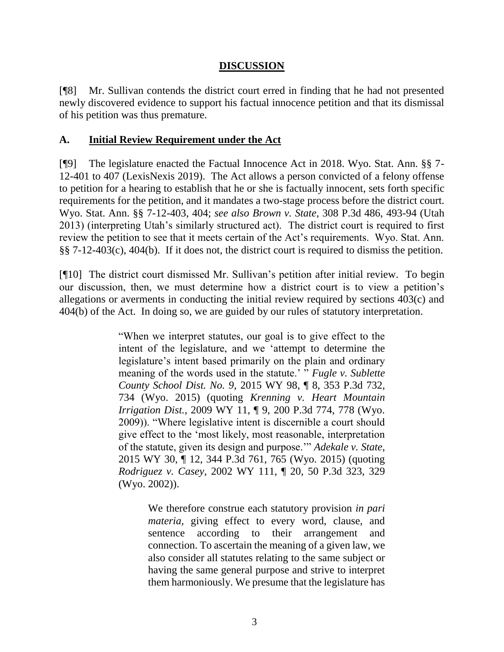# **DISCUSSION**

[¶8] Mr. Sullivan contends the district court erred in finding that he had not presented newly discovered evidence to support his factual innocence petition and that its dismissal of his petition was thus premature.

### **A. Initial Review Requirement under the Act**

[¶9] The legislature enacted the Factual Innocence Act in 2018. Wyo. Stat. Ann. §§ 7- 12-401 to 407 (LexisNexis 2019). The Act allows a person convicted of a felony offense to petition for a hearing to establish that he or she is factually innocent, sets forth specific requirements for the petition, and it mandates a two-stage process before the district court. Wyo. Stat. Ann. §§ 7-12-403, 404; *see also Brown v. State*, 308 P.3d 486, 493-94 (Utah 2013) (interpreting Utah's similarly structured act). The district court is required to first review the petition to see that it meets certain of the Act's requirements. Wyo. Stat. Ann. §§ 7-12-403(c), 404(b). If it does not, the district court is required to dismiss the petition.

[¶10] The district court dismissed Mr. Sullivan's petition after initial review. To begin our discussion, then, we must determine how a district court is to view a petition's allegations or averments in conducting the initial review required by sections 403(c) and 404(b) of the Act. In doing so, we are guided by our rules of statutory interpretation.

> "When we interpret statutes, our goal is to give effect to the intent of the legislature, and we 'attempt to determine the legislature's intent based primarily on the plain and ordinary meaning of the words used in the statute.' " *Fugle v. Sublette County School Dist. No. 9*, 2015 WY 98, ¶ 8, 353 P.3d 732, 734 (Wyo. 2015) (quoting *Krenning v. Heart Mountain Irrigation Dist.*, 2009 WY 11, ¶ 9, 200 P.3d 774, 778 (Wyo. 2009)). "Where legislative intent is discernible a court should give effect to the 'most likely, most reasonable, interpretation of the statute, given its design and purpose.'" *Adekale v. State*, 2015 WY 30, ¶ 12, 344 P.3d 761, 765 (Wyo. 2015) (quoting *Rodriguez v. Casey*, 2002 WY 111, ¶ 20, 50 P.3d 323, 329 (Wyo. 2002)).

> > We therefore construe each statutory provision *in pari materia*, giving effect to every word, clause, and sentence according to their arrangement and connection. To ascertain the meaning of a given law, we also consider all statutes relating to the same subject or having the same general purpose and strive to interpret them harmoniously. We presume that the legislature has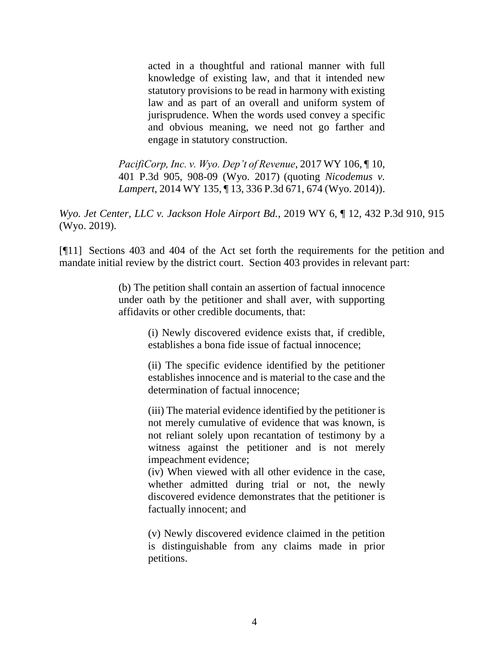acted in a thoughtful and rational manner with full knowledge of existing law, and that it intended new statutory provisions to be read in harmony with existing law and as part of an overall and uniform system of jurisprudence. When the words used convey a specific and obvious meaning, we need not go farther and engage in statutory construction.

*PacifiCorp, Inc. v. Wyo. Dep't of Revenue*, 2017 WY 106, ¶ 10, 401 P.3d 905, 908-09 (Wyo. 2017) (quoting *Nicodemus v. Lampert*, 2014 WY 135, ¶ 13, 336 P.3d 671, 674 (Wyo. 2014)).

*Wyo. Jet Center, LLC v. Jackson Hole Airport Bd.*, 2019 WY 6, ¶ 12, 432 P.3d 910, 915 (Wyo. 2019).

[¶11] Sections 403 and 404 of the Act set forth the requirements for the petition and mandate initial review by the district court. Section 403 provides in relevant part:

> (b) The petition shall contain an assertion of factual innocence under oath by the petitioner and shall aver, with supporting affidavits or other credible documents, that:

> > (i) Newly discovered evidence exists that, if credible, establishes a bona fide issue of factual innocence;

> > (ii) The specific evidence identified by the petitioner establishes innocence and is material to the case and the determination of factual innocence;

> > (iii) The material evidence identified by the petitioner is not merely cumulative of evidence that was known, is not reliant solely upon recantation of testimony by a witness against the petitioner and is not merely impeachment evidence;

> > (iv) When viewed with all other evidence in the case, whether admitted during trial or not, the newly discovered evidence demonstrates that the petitioner is factually innocent; and

> > (v) Newly discovered evidence claimed in the petition is distinguishable from any claims made in prior petitions.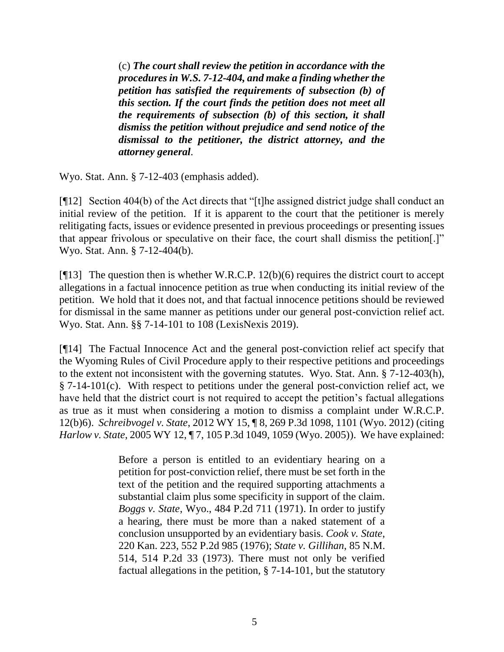(c) *The court shall review the petition in accordance with the procedures in [W.S. 7-12-404,](http://www.westlaw.com/Link/Document/FullText?findType=L&pubNum=1000377&cite=WYSTS7-12-404&originatingDoc=N743772E02BEB11E8A36AFFA8FB2BCA04&refType=LQ&originationContext=document&vr=3.0&rs=cblt1.0&transitionType=DocumentItem&contextData=(sc.Document)) and make a finding whether the petition has satisfied the requirements of subsection (b) of this section. If the court finds the petition does not meet all the requirements of subsection (b) of this section, it shall dismiss the petition without prejudice and send notice of the dismissal to the petitioner, the district attorney, and the attorney general*.

Wyo. Stat. Ann. § 7-12-403 (emphasis added).

[¶12] Section 404(b) of the Act directs that "[t]he assigned district judge shall conduct an initial review of the petition. If it is apparent to the court that the petitioner is merely relitigating facts, issues or evidence presented in previous proceedings or presenting issues that appear frivolous or speculative on their face, the court shall dismiss the petition[.]" Wyo. Stat. Ann. § 7-12-404(b).

[ $[13]$ ] The question then is whether W.R.C.P. 12(b)(6) requires the district court to accept allegations in a factual innocence petition as true when conducting its initial review of the petition. We hold that it does not, and that factual innocence petitions should be reviewed for dismissal in the same manner as petitions under our general post-conviction relief act. Wyo. Stat. Ann. §§ 7-14-101 to 108 (LexisNexis 2019).

[¶14] The Factual Innocence Act and the general post-conviction relief act specify that the Wyoming Rules of Civil Procedure apply to their respective petitions and proceedings to the extent not inconsistent with the governing statutes. Wyo. Stat. Ann. § 7-12-403(h), § 7-14-101(c). With respect to petitions under the general post-conviction relief act, we have held that the district court is not required to accept the petition's factual allegations as true as it must when considering a motion to dismiss a complaint under W.R.C.P. 12(b)6). *Schreibvogel v. State*, 2012 WY 15, ¶ 8, 269 P.3d 1098, 1101 (Wyo. 2012) (citing *Harlow v. State*[, 2005 WY 12, ¶ 7, 105 P.3d 1049, 1059 \(Wyo. 2005\)\)](http://www.westlaw.com/Link/Document/FullText?findType=Y&serNum=2006184790&pubNum=0004645&originatingDoc=I1e9ed32451f811e1bd1192eddc2af8cc&refType=RP&fi=co_pp_sp_4645_1059&originationContext=document&vr=3.0&rs=cblt1.0&transitionType=DocumentItem&contextData=(sc.Search)#co_pp_sp_4645_1059). We have explained:

> Before a person is entitled to an evidentiary hearing on a petition for post-conviction relief, there must be set forth in the text of the petition and the required supporting attachments a substantial claim plus some specificity in support of the claim. *Boggs v. State*[, Wyo., 484 P.2d 711 \(1971\).](http://www.westlaw.com/Link/Document/FullText?findType=Y&serNum=1971123892&pubNum=661&originatingDoc=I9cdb49e4f5ab11d99439b076ef9ec4de&refType=RP&originationContext=document&vr=3.0&rs=cblt1.0&transitionType=DocumentItem&contextData=(sc.DocLink)) In order to justify a hearing, there must be more than a naked statement of a conclusion unsupported by an evidentiary basis. *Cook v. State*, 220 Kan. 223, 552 P.2d 985 (1976); *State v. Gillihan*, 85 N.M. 514, 514 P.2d 33 (1973). There must not only be verified factual allegations in the petition, § 7-14-101, but the statutory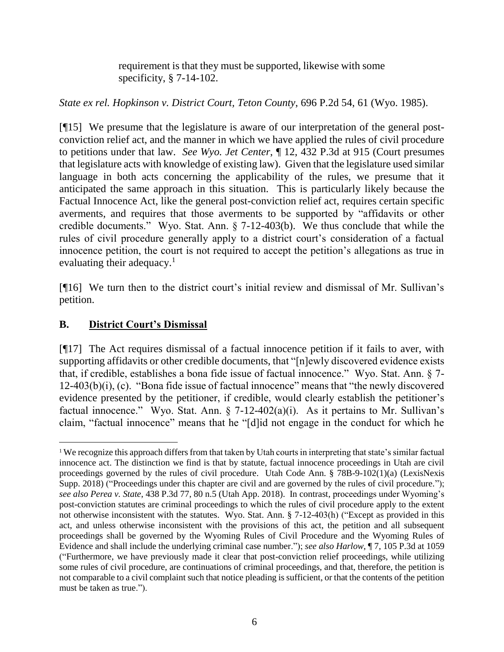requirement is that they must be supported, likewise with some specificity, § 7-14-102.

*State ex rel. Hopkinson v. District Court, Teton County*, 696 P.2d 54, 61 (Wyo. 1985).

[¶15] We presume that the legislature is aware of our interpretation of the general postconviction relief act, and the manner in which we have applied the rules of civil procedure to petitions under that law. *See Wyo. Jet Center*, ¶ 12, 432 P.3d at 915 (Court presumes that legislature acts with knowledge of existing law). Given that the legislature used similar language in both acts concerning the applicability of the rules, we presume that it anticipated the same approach in this situation. This is particularly likely because the Factual Innocence Act, like the general post-conviction relief act, requires certain specific averments, and requires that those averments to be supported by "affidavits or other credible documents." Wyo. Stat. Ann. § 7-12-403(b). We thus conclude that while the rules of civil procedure generally apply to a district court's consideration of a factual innocence petition, the court is not required to accept the petition's allegations as true in evaluating their adequacy.<sup>1</sup>

[¶16] We turn then to the district court's initial review and dismissal of Mr. Sullivan's petition.

# **B. District Court's Dismissal**

[¶17] The Act requires dismissal of a factual innocence petition if it fails to aver, with supporting affidavits or other credible documents, that "[n]ewly discovered evidence exists that, if credible, establishes a bona fide issue of factual innocence." Wyo. Stat. Ann. § 7- 12-403(b)(i), (c). "Bona fide issue of factual innocence" means that "the newly discovered evidence presented by the petitioner, if credible, would clearly establish the petitioner's factual innocence." Wyo. Stat. Ann.  $\S$  7-12-402(a)(i). As it pertains to Mr. Sullivan's claim, "factual innocence" means that he "[d]id not engage in the conduct for which he

 $\overline{a}$ <sup>1</sup> We recognize this approach differs from that taken by Utah courts in interpreting that state's similar factual innocence act. The distinction we find is that by statute, factual innocence proceedings in Utah are civil proceedings governed by the rules of civil procedure. Utah Code Ann. § 78B-9-102(1)(a) (LexisNexis Supp. 2018) ("Proceedings under this chapter are civil and are governed by the rules of civil procedure."); *see also Perea v. State*, 438 P.3d 77, 80 n.5 (Utah App. 2018). In contrast, proceedings under Wyoming's post-conviction statutes are criminal proceedings to which the rules of civil procedure apply to the extent not otherwise inconsistent with the statutes. Wyo. Stat. Ann. § 7-12-403(h) ("Except as provided in this act, and unless otherwise inconsistent with the provisions of this act, the petition and all subsequent proceedings shall be governed by the Wyoming Rules of Civil Procedure and the Wyoming Rules of Evidence and shall include the underlying criminal case number."); *see also Harlow*, ¶ 7, 105 P.3d at 1059 ("Furthermore, we have previously made it clear that post-conviction relief proceedings, while utilizing some rules of civil procedure, are continuations of criminal proceedings, and that, therefore, the petition is not comparable to a civil complaint such that notice pleading is sufficient, or that the contents of the petition must be taken as true.").